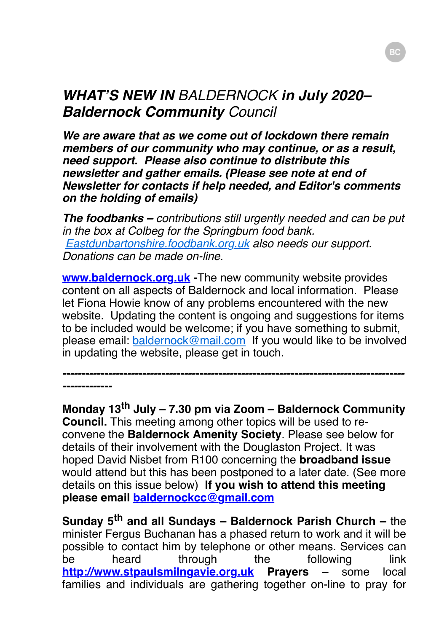### *WHAT'S NEW IN BALDERNOCK in July 2020– Baldernock Community Council*

*We are aware that as we come out of lockdown there remain members of our community who may continue, or as a result, need support. Please also continue to distribute this newsletter and gather emails. (Please see note at end of Newsletter for contacts if help needed, and Editor***'***s comments on the holding of emails)*

*The foodbanks – contributions still urgently needed and can be put in the box at Colbeg for the Springburn food bank. [Eastdunbartonshire.foodbank.org.uk](http://eastdunbartonshire.foodbank.org.uk/) also needs our support. Donations can be made on-line.*

**[www.baldernock.org.uk](http://www.baldernock.org.uk/) -**The new community website provides content on all aspects of Baldernock and local information. Please let Fiona Howie know of any problems encountered with the new website. Updating the content is ongoing and suggestions for items to be included would be welcome; if you have something to submit, please email: [baldernock@mail.com](mailto:baldernock@mail.com) If you would like to be involved in updating the website, please get in touch.

*------------------------------------------------------------------------------------------*

*-------------*

**Monday 13th July – 7.30 pm via Zoom – Baldernock Community Council.** This meeting among other topics will be used to reconvene the **Baldernock Amenity Society**. Please see below for details of their involvement with the Douglaston Project. It was hoped David Nisbet from R100 concerning the **broadband issue** would attend but this has been postponed to a later date. (See more details on this issue below) **If you wish to attend this meeting please email [baldernockcc@gmail.com](mailto:baldernockcc@gmail.com)**

**Sunday 5th and all Sundays – Baldernock Parish Church –** the minister Fergus Buchanan has a phased return to work and it will be possible to contact him by telephone or other means. Services can be heard through the following link **[http://www.stpaulsmilngavie.org.uk](http://www.stpaulsmilngavie.org.uk/) Prayers –** some local families and individuals are gathering together on-line to pray for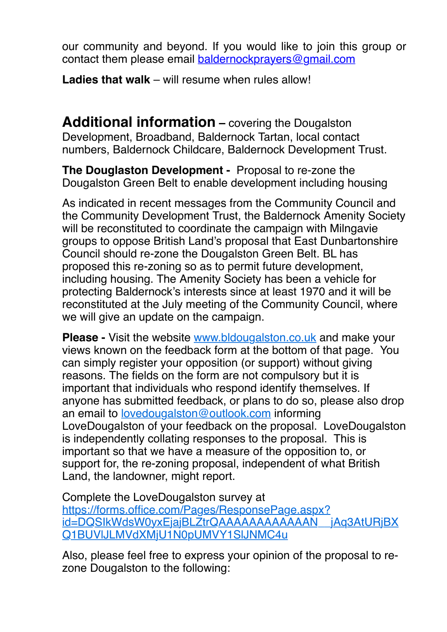our community and beyond. If you would like to join this group or contact them please email **[baldernockprayers@gmail.com](mailto:baldernockprayers@gmail.com)** 

**Ladies that walk** – will resume when rules allow!

**Additional information** – covering the Dougalston Development, Broadband, Baldernock Tartan, local contact numbers, Baldernock Childcare, Baldernock Development Trust.

**The Douglaston Development -** Proposal to re-zone the Dougalston Green Belt to enable development including housing

As indicated in recent messages from the Community Council and the Community Development Trust, the Baldernock Amenity Society will be reconstituted to coordinate the campaign with Milngavie groups to oppose British Land's proposal that East Dunbartonshire Council should re-zone the Dougalston Green Belt. BL has proposed this re-zoning so as to permit future development, including housing. The Amenity Society has been a vehicle for protecting Baldernock's interests since at least 1970 and it will be reconstituted at the July meeting of the Community Council, where we will give an update on the campaign.

**Please -** Visit the website [www.bldougalston.co.uk](http://www.bldougalston.co.uk/) and make your views known on the feedback form at the bottom of that page. You can simply register your opposition (or support) without giving reasons. The fields on the form are not compulsory but it is important that individuals who respond identify themselves. If anyone has submitted feedback, or plans to do so, please also drop an email to [lovedougalston@outlook.com](mailto:lovedougalston@outlook.com) informing LoveDougalston of your feedback on the proposal. LoveDougalston is independently collating responses to the proposal. This is important so that we have a measure of the opposition to, or support for, the re-zoning proposal, independent of what British Land, the landowner, might report.

Complete the LoveDougalston survey at https://forms.office.com/Pages/ResponsePage.aspx? [id=DQSIkWdsW0yxEjajBLZtrQAAAAAAAAAAAAN\\_\\_jAq3AtURjBX](https://forms.office.com/Pages/ResponsePage.aspx?id=DQSIkWdsW0yxEjajBLZtrQAAAAAAAAAAAAN__jAq3AtURjBXQ1BUVlJLMVdXMjU1N0pUMVY1SlJNMC4u) Q1BUVlJLMVdXMjU1N0pUMVY1SlJNMC4u

Also, please feel free to express your opinion of the proposal to rezone Dougalston to the following: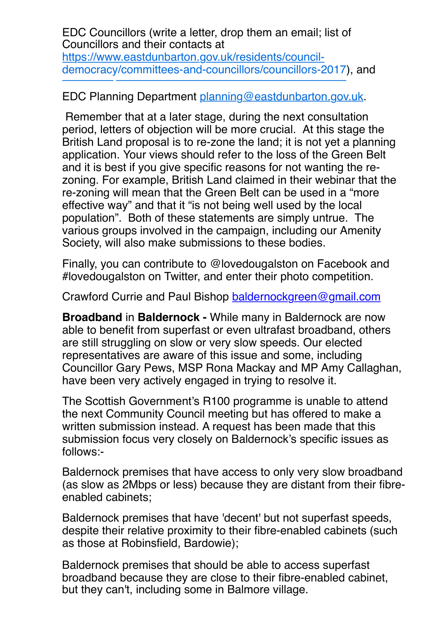EDC Councillors (write a letter, drop them an email; list of Councillors and their contacts at https://www.eastdunbarton.gov.uk/residents/council[democracy/committees-and-councillors/councillors-2017](https://www.eastdunbarton.gov.uk/residents/council-democracy/committees-and-councillors/councillors-2017)), and

EDC Planning Department [planning@eastdunbarton.gov.uk](mailto:planning@eastdunbarton.gov.uk).

 Remember that at a later stage, during the next consultation period, letters of objection will be more crucial. At this stage the British Land proposal is to re-zone the land; it is not yet a planning application. Your views should refer to the loss of the Green Belt and it is best if you give specific reasons for not wanting the rezoning. For example, British Land claimed in their webinar that the re-zoning will mean that the Green Belt can be used in a "more effective way" and that it "is not being well used by the local population". Both of these statements are simply untrue. The various groups involved in the campaign, including our Amenity Society, will also make submissions to these bodies.

Finally, you can contribute to @lovedougalston on Facebook and #lovedougalston on Twitter, and enter their photo competition.

Crawford Currie and Paul Bishop [baldernockgreen@gmail.com](mailto:baldernockgreen@gmail.com)

**Broadband** in **Baldernock -** While many in Baldernock are now able to benefit from superfast or even ultrafast broadband, others are still struggling on slow or very slow speeds. Our elected representatives are aware of this issue and some, including Councillor Gary Pews, MSP Rona Mackay and MP Amy Callaghan, have been very actively engaged in trying to resolve it.

The Scottish Government's R100 programme is unable to attend the next Community Council meeting but has offered to make a written submission instead. A request has been made that this submission focus very closely on Baldernock's specific issues as follows:-

Baldernock premises that have access to only very slow broadband (as slow as 2Mbps or less) because they are distant from their fibreenabled cabinets;

Baldernock premises that have 'decent' but not superfast speeds, despite their relative proximity to their fibre-enabled cabinets (such as those at Robinsfield, Bardowie);

Baldernock premises that should be able to access superfast broadband because they are close to their fibre-enabled cabinet, but they can't, including some in Balmore village.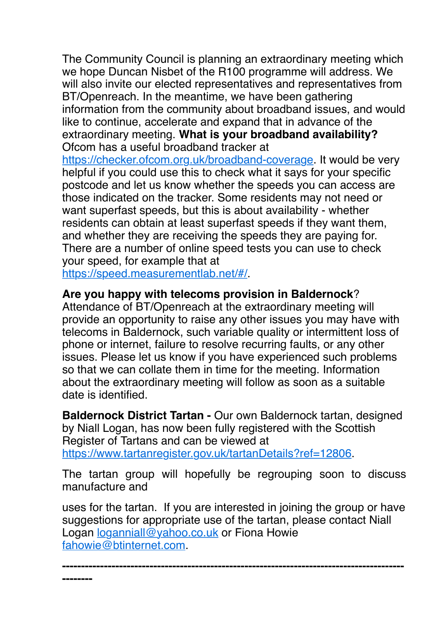The Community Council is planning an extraordinary meeting which we hope Duncan Nisbet of the R100 programme will address. We will also invite our elected representatives and representatives from BT/Openreach. In the meantime, we have been gathering information from the community about broadband issues, and would like to continue, accelerate and expand that in advance of the extraordinary meeting. **What is your broadband availability?** Ofcom has a useful broadband tracker at <https://checker.ofcom.org.uk/broadband-coverage>. It would be very

helpful if you could use this to check what it says for your specific postcode and let us know whether the speeds you can access are those indicated on the tracker. Some residents may not need or want superfast speeds, but this is about availability - whether residents can obtain at least superfast speeds if they want them, and whether they are receiving the speeds they are paying for. There are a number of online speed tests you can use to check your speed, for example that at

[https://speed.measurementlab.net/#/.](https://speed.measurementlab.net/#/)

**--------**

#### **Are you happy with telecoms provision in Baldernock**?

Attendance of BT/Openreach at the extraordinary meeting will provide an opportunity to raise any other issues you may have with telecoms in Baldernock, such variable quality or intermittent loss of phone or internet, failure to resolve recurring faults, or any other issues. Please let us know if you have experienced such problems so that we can collate them in time for the meeting. Information about the extraordinary meeting will follow as soon as a suitable date is identified.

**Baldernock District Tartan -** Our own Baldernock tartan, designed by Niall Logan, has now been fully registered with the Scottish Register of Tartans and can be viewed at <https://www.tartanregister.gov.uk/tartanDetails?ref=12806>.

The tartan group will hopefully be regrouping soon to discuss manufacture and

uses for the tartan. If you are interested in joining the group or have suggestions for appropriate use of the tartan, please contact Niall Logan [loganniall@yahoo.co.uk](mailto:loganniall@yahoo.co.uk) or Fiona Howie [fahowie@btinternet.com.](mailto:fahowie@btinternet.com)

**------------------------------------------------------------------------------------------**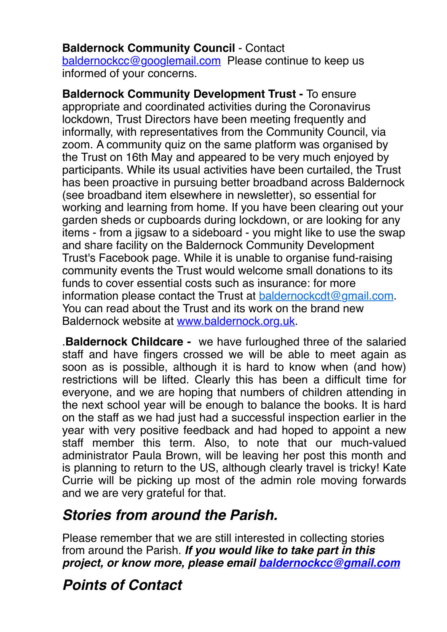**Baldernock Community Council** - Contact [baldernockcc@googlemail.com](mailto:baldernockcc@googlemail.com) Please continue to keep us informed of your concerns.

**Baldernock Community Development Trust -** To ensure appropriate and coordinated activities during the Coronavirus lockdown, Trust Directors have been meeting frequently and informally, with representatives from the Community Council, via zoom. A community quiz on the same platform was organised by the Trust on 16th May and appeared to be very much enjoyed by participants. While its usual activities have been curtailed, the Trust has been proactive in pursuing better broadband across Baldernock (see broadband item elsewhere in newsletter), so essential for working and learning from home. If you have been clearing out your garden sheds or cupboards during lockdown, or are looking for any items - from a jigsaw to a sideboard - you might like to use the swap and share facility on the Baldernock Community Development Trust's Facebook page. While it is unable to organise fund-raising community events the Trust would welcome small donations to its funds to cover essential costs such as insurance: for more information please contact the Trust at [baldernockcdt@gmail.com](mailto:baldernockcdt@gmail.com). You can read about the Trust and its work on the brand new Baldernock website at [www.baldernock.org.uk.](http://www.baldernock.org.uk/)

.**Baldernock Childcare -** we have furloughed three of the salaried staff and have fingers crossed we will be able to meet again as soon as is possible, although it is hard to know when (and how) restrictions will be lifted. Clearly this has been a difficult time for everyone, and we are hoping that numbers of children attending in the next school year will be enough to balance the books. It is hard on the staff as we had just had a successful inspection earlier in the year with very positive feedback and had hoped to appoint a new staff member this term. Also, to note that our much-valued administrator Paula Brown, will be leaving her post this month and is planning to return to the US, although clearly travel is tricky! Kate Currie will be picking up most of the admin role moving forwards and we are very grateful for that.

## *Stories from around the Parish.*

Please remember that we are still interested in collecting stories from around the Parish. *If you would like to take part in this project, or know more, please email [baldernockcc@gmail.com](mailto:baldernockcc@gmail.com)*

# *Points of Contact*